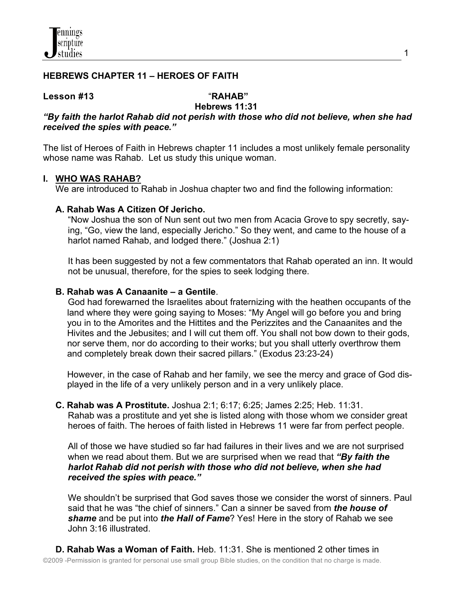# **HEBREWS CHAPTER 11 – HEROES OF FAITH**

#### **Lesson #13**"**RAHAB"**

# **Hebrews 11:31**

# *"By faith the harlot Rahab did not perish with those who did not believe, when she had received the spies with peace."*

The list of Heroes of Faith in Hebrews chapter 11 includes a most unlikely female personality whose name was Rahab. Let us study this unique woman.

## **I. WHO WAS RAHAB?**

We are introduced to Rahab in Joshua chapter two and find the following information:

## **A. Rahab Was A Citizen Of Jericho.**

 "Now Joshua the son of Nun sent out two men from Acacia Grove to spy secretly, say ing, "Go, view the land, especially Jericho." So they went, and came to the house of a harlot named Rahab, and lodged there." (Joshua 2:1)

 It has been suggested by not a few commentators that Rahab operated an inn. It would not be unusual, therefore, for the spies to seek lodging there.

## **B. Rahab was A Canaanite – a Gentile**.

 God had forewarned the Israelites about fraternizing with the heathen occupants of the land where they were going saying to Moses: "My Angel will go before you and bring you in to the Amorites and the Hittites and the Perizzites and the Canaanites and the Hivites and the Jebusites; and I will cut them off. You shall not bow down to their gods, nor serve them, nor do according to their works; but you shall utterly overthrow them and completely break down their sacred pillars." (Exodus 23:23-24)

 However, in the case of Rahab and her family, we see the mercy and grace of God dis played in the life of a very unlikely person and in a very unlikely place.

 **C. Rahab was A Prostitute.** Joshua 2:1; 6:17; 6:25; James 2:25; Heb. 11:31. Rahab was a prostitute and yet she is listed along with those whom we consider great heroes of faith. The heroes of faith listed in Hebrews 11 were far from perfect people.

 All of those we have studied so far had failures in their lives and we are not surprised when we read about them. But we are surprised when we read that *"By faith the harlot Rahab did not perish with those who did not believe, when she had received the spies with peace."*

We shouldn't be surprised that God saves those we consider the worst of sinners. Paul said that he was "the chief of sinners." Can a sinner be saved from *the house of shame* and be put into *the Hall of Fame*? Yes! Here in the story of Rahab we see John 3:16 illustrated.

©2009 -Permission is granted for personal use small group Bible studies, on the condition that no charge is made. **D. Rahab Was a Woman of Faith.** Heb. 11:31. She is mentioned 2 other times in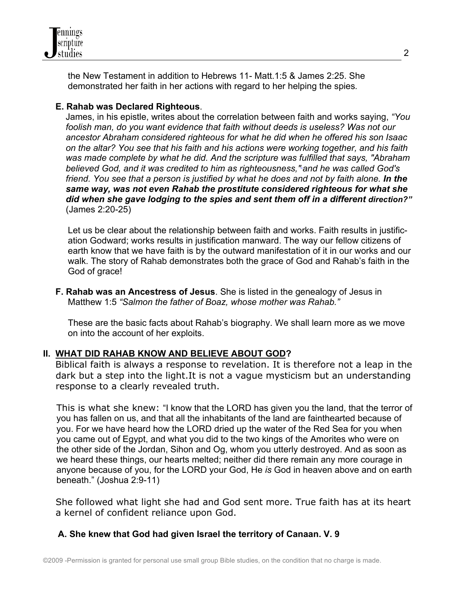

 the New Testament in addition to Hebrews 11- Matt.1:5 & James 2:25. She demonstrated her faith in her actions with regard to her helping the spies*.*

## **E. Rahab was Declared Righteous**.

James, in his epistle, writes about the correlation between faith and works saying, *"You foolish man, do you want evidence that faith without deeds is useless? Was not our ancestor Abraham considered righteous for what he did when he offered his son Isaac on the altar? You see that his faith and his actions were working together, and his faith was made complete by what he did. And the scripture was fulfilled that says, "Abraham believed God, and it was credited to him as righteousness," and he was called God's friend. You see that a person is justified by what he does and not by faith alone. In the same way, was not even Rahab the prostitute considered righteous for what she did when she gave lodging to the spies and sent them off in a different direction?"* (James 2:20-25)

 Let us be clear about the relationship between faith and works. Faith results in justific ation Godward; works results in justification manward. The way our fellow citizens of earth know that we have faith is by the outward manifestation of it in our works and our walk. The story of Rahab demonstrates both the grace of God and Rahab's faith in the God of grace!

 **F. Rahab was an Ancestress of Jesus**. She is listed in the genealogy of Jesus in Matthew 1:5 *"Salmon the father of Boaz, whose mother was Rahab."* 

These are the basic facts about Rahab's biography. We shall learn more as we move on into the account of her exploits.

# **II. WHAT DID RAHAB KNOW AND BELIEVE ABOUT GOD?**

Biblical faith is always a response to revelation. It is therefore not a leap in the dark but a step into the light.It is not a vague mysticism but an understanding response to a clearly revealed truth.

This is what she knew: "I know that the LORD has given you the land, that the terror of you has fallen on us, and that all the inhabitants of the land are fainthearted because of you. For we have heard how the LORD dried up the water of the Red Sea for you when you came out of Egypt, and what you did to the two kings of the Amorites who were on the other side of the Jordan, Sihon and Og, whom you utterly destroyed. And as soon as we heard these things, our hearts melted; neither did there remain any more courage in anyone because of you, for the LORD your God, He *is* God in heaven above and on earth beneath." (Joshua 2:9-11)

 She followed what light she had and God sent more. True faith has at its heart a kernel of confident reliance upon God.

# **A. She knew that God had given Israel the territory of Canaan. V. 9**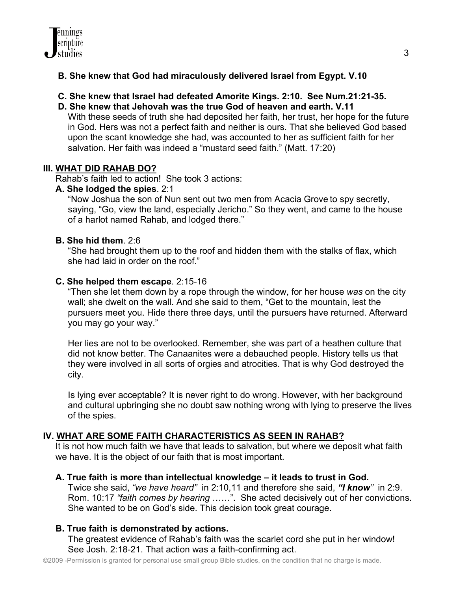# **B. She knew that God had miraculously delivered Israel from Egypt. V.10**

- **C. She knew that Israel had defeated Amorite Kings. 2:10. See Num.21:21-35.**
- **D. She knew that Jehovah was the true God of heaven and earth. V.11**

With these seeds of truth she had deposited her faith, her trust, her hope for the future in God. Hers was not a perfect faith and neither is ours. That she believed God based upon the scant knowledge she had, was accounted to her as sufficient faith for her salvation. Her faith was indeed a "mustard seed faith." (Matt. 17:20)

# **III. WHAT DID RAHAB DO?**

Rahab's faith led to action! She took 3 actions:

# **A. She lodged the spies**. 2:1

 "Now Joshua the son of Nun sent out two men from Acacia Grove to spy secretly, saying, "Go, view the land, especially Jericho." So they went, and came to the house of a harlot named Rahab, and lodged there."

# **B. She hid them**. 2:6

 "She had brought them up to the roof and hidden them with the stalks of flax, which she had laid in order on the roof."

# **C. She helped them escape**. 2:15-16

 "Then she let them down by a rope through the window, for her house *was* on the city wall; she dwelt on the wall. And she said to them, "Get to the mountain, lest the pursuers meet you. Hide there three days, until the pursuers have returned. Afterward you may go your way."

 Her lies are not to be overlooked. Remember, she was part of a heathen culture that did not know better. The Canaanites were a debauched people. History tells us that they were involved in all sorts of orgies and atrocities. That is why God destroyed the city.

 Is lying ever acceptable? It is never right to do wrong. However, with her background and cultural upbringing she no doubt saw nothing wrong with lying to preserve the lives of the spies.

# **IV. WHAT ARE SOME FAITH CHARACTERISTICS AS SEEN IN RAHAB?**

 It is not how much faith we have that leads to salvation, but where we deposit what faith we have. It is the object of our faith that is most important.

# **A. True faith is more than intellectual knowledge – it leads to trust in God.**

 Twice she said, *"we have heard"* in 2:10,11 and therefore she said, *"I know"* in 2:9. Rom. 10:17 *"faith comes by hearing* ……". She acted decisively out of her convictions. She wanted to be on God's side. This decision took great courage.

# **B. True faith is demonstrated by actions.**

 The greatest evidence of Rahab's faith was the scarlet cord she put in her window! See Josh. 2:18-21. That action was a faith-confirming act.